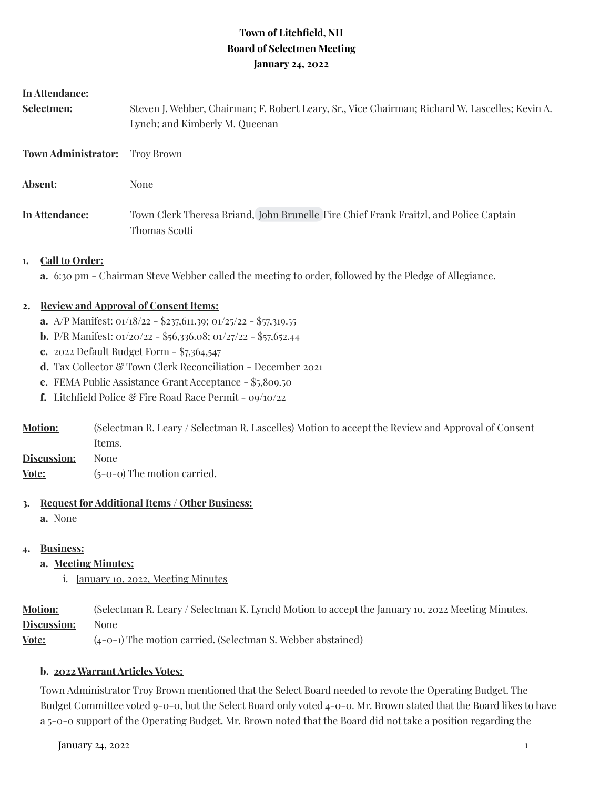## **Town of Litchfield, NH Board of Selectmen Meeting January 24, 2022**

#### **In Attendance:**

| Selectmen:                 | Steven J. Webber, Chairman; F. Robert Leary, Sr., Vice Chairman; Richard W. Lascelles; Kevin A.<br>Lynch; and Kimberly M. Queenan |  |
|----------------------------|-----------------------------------------------------------------------------------------------------------------------------------|--|
| <b>Town Administrator:</b> | Trov Brown                                                                                                                        |  |
| Absent:                    | None                                                                                                                              |  |
| In Attendance:             | Town Clerk Theresa Briand, John Brunelle Fire Chief Frank Fraitzl, and Police Captain<br>Thomas Scotti                            |  |

#### **1. Call to Order:**

**a.** 6:30 pm - Chairman Steve Webber called the meeting to order, followed by the Pledge of Allegiance.

### **2. Review and Approval of Consent Items:**

- **a.** A/P Manifest: 01/18/22 \$237,611.39; 01/25/22 \$57,319.55
- **b.** P/R Manifest: 01/20/22 \$56,336.08; 01/27/22 \$57,652.44
- **c.** 2022 Default Budget Form \$7,364,547
- d. Tax Collector & Town Clerk Reconciliation December 2021
- **e.** FEMA Public Assistance Grant Acceptance \$5,809.50
- **f.** Litchfield Police & Fire Road Race Permit 09/10/22
- **Motion:** (Selectman R. Leary / Selectman R. Lascelles) Motion to accept the Review and Approval of Consent Items.
- **Discussion:** None
- **Vote:**  $(5-0-0)$  The motion carried.

#### **3. Request for Additional Items / Other Business:**

**a.** None

#### **4. Business:**

- **a. Meeting Minutes:**
	- i. January 10, 2022, Meeting Minutes

**Motion:** (Selectman R. Leary / Selectman K. Lynch) Motion to accept the January 1o, 2022 Meeting Minutes. **Discussion:** None

**Vote:** (4-0-1) The motion carried. (Selectman S. Webber abstained)

#### **b. 2022 Warrant Articles Votes:**

Town Administrator Troy Brown mentioned that the Select Board needed to revote the Operating Budget. The Budget Committee voted 9-0-0, but the Select Board only voted 4-0-0. Mr. Brown stated that the Board likes to have a 5-0-0 support of the Operating Budget. Mr. Brown noted that the Board did not take a position regarding the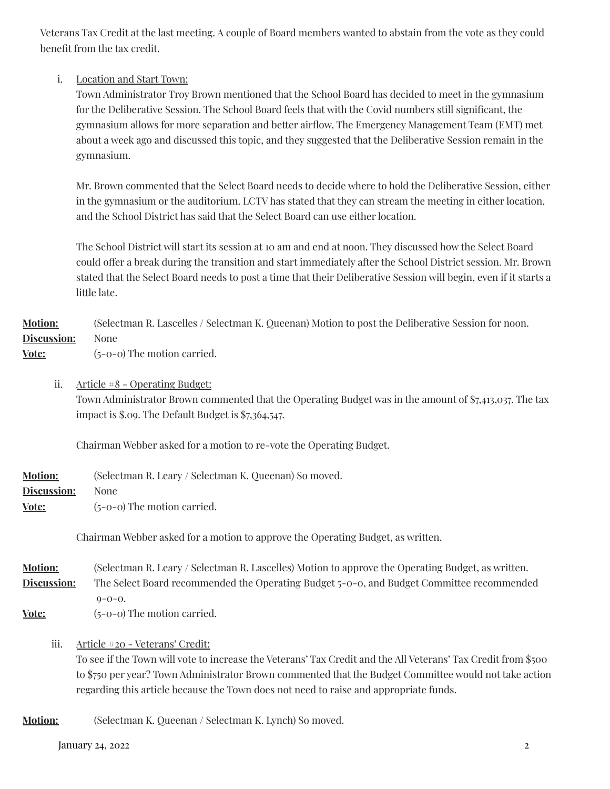Veterans Tax Credit at the last meeting. A couple of Board members wanted to abstain from the vote as they could benefit from the tax credit.

## i. Location and Start Town:

Town Administrator Troy Brown mentioned that the School Board has decided to meet in the gymnasium for the Deliberative Session. The School Board feels that with the Covid numbers still significant, the gymnasium allows for more separation and better airflow. The Emergency Management Team (EMT) met about a week ago and discussed this topic, and they suggested that the Deliberative Session remain in the gymnasium.

Mr. Brown commented that the Select Board needs to decide where to hold the Deliberative Session, either in the gymnasium or the auditorium. LCTV has stated that they can stream the meeting in either location, and the School District has said that the Select Board can use either location.

The School District will start its session at 10 am and end at noon. They discussed how the Select Board could offer a break during the transition and start immediately after the School District session. Mr. Brown stated that the Select Board needs to post a time that their Deliberative Session will begin, even if it starts a little late.

# **Motion:** (Selectman R. Lascelles / Selectman K. Queenan) Motion to post the Deliberative Session for noon. **Discussion:** None

**Vote:** (5-0-0) The motion carried.

ii. Article #8 - Operating Budget: Town Administrator Brown commented that the Operating Budget was in the amount of \$7,413,037. The tax impact is \$.09. The Default Budget is \$7,364,547.

Chairman Webber asked for a motion to re-vote the Operating Budget.

| <b>Motion:</b>                             | (Selectman R. Leary / Selectman K. Queenan) So moved. |
|--------------------------------------------|-------------------------------------------------------|
| <b>Discussion:</b>                         | None                                                  |
| $\mathbf{V}$ $\mathbf{V}$ and $\mathbf{V}$ | $\sim$ $\sim$ $\sim$ The continue commonly            |

**Vote:** (5-0-0) The motion carried.

Chairman Webber asked for a motion to approve the Operating Budget, as written.

**Motion:** (Selectman R. Leary / Selectman R. Lascelles) Motion to approve the Operating Budget, as written. **Discussion:** The Select Board recommended the Operating Budget 5-0-0, and Budget Committee recommended  $0 - 0 - 0$ .

**Vote:** (5-0-0) The motion carried.

iii. Article #20 - Veterans' Credit:

To see if the Town will vote to increase the Veterans' Tax Credit and the All Veterans' Tax Credit from \$500 to \$750 per year? Town Administrator Brown commented that the Budget Committee would not take action regarding this article because the Town does not need to raise and appropriate funds.

**Motion:** (Selectman K. Queenan / Selectman K. Lynch) So moved.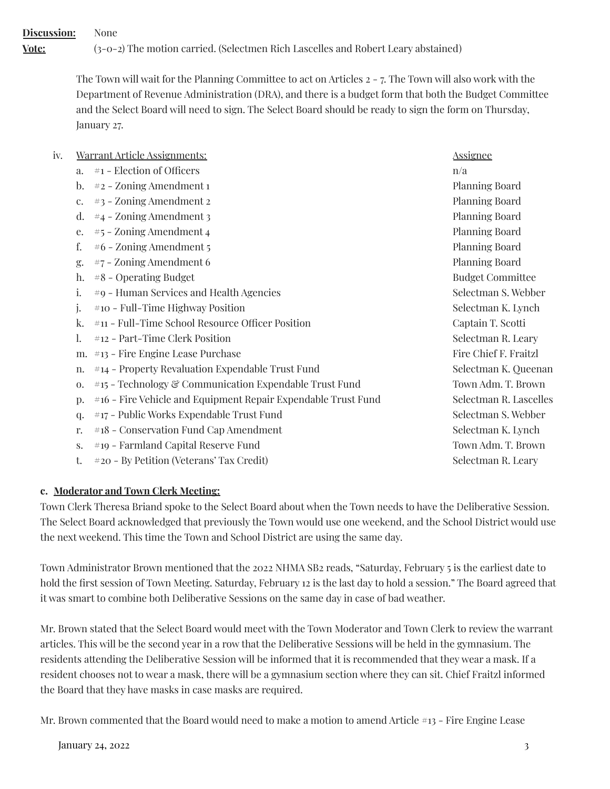**Discussion:** None **Vote:** (3-0-2) The motion carried. (Selectmen Rich Lascelles and Robert Leary abstained)

> The Town will wait for the Planning Committee to act on Articles 2 - 7. The Town will also work with the Department of Revenue Administration (DRA), and there is a budget form that both the Budget Committee and the Select Board will need to sign. The Select Board should be ready to sign the form on Thursday, January 27.

| iv. |                | <u>Warrant Article Assignments:</u>                           | <u>Assignee</u>         |
|-----|----------------|---------------------------------------------------------------|-------------------------|
|     | a.             | #1 - Election of Officers                                     | n/a                     |
|     | $\mathbf{b}$ . | #2 - Zoning Amendment 1                                       | <b>Planning Board</b>   |
|     | c.             | #3 - Zoning Amendment 2                                       | <b>Planning Board</b>   |
|     | d.             | #4 - Zoning Amendment 3                                       | <b>Planning Board</b>   |
|     | e.             | $#5$ – Zoning Amendment 4                                     | <b>Planning Board</b>   |
|     | f.             | #6 - Zoning Amendment 5                                       | <b>Planning Board</b>   |
|     | g.             | $#7$ – Zoning Amendment 6                                     | <b>Planning Board</b>   |
|     | h.             | $#8$ – Operating Budget                                       | <b>Budget Committee</b> |
|     | i.             | #9 - Human Services and Health Agencies                       | Selectman S. Webber     |
|     | j.             | #10 - Full-Time Highway Position                              | Selectman K. Lynch      |
|     | k.             | #11 - Full-Time School Resource Officer Position              | Captain T. Scotti       |
|     | 1.             | #12 - Part-Time Clerk Position                                | Selectman R. Leary      |
|     | m.             | $\#$ 13 - Fire Engine Lease Purchase                          | Fire Chief F. Fraitzl   |
|     | n.             | #14 - Property Revaluation Expendable Trust Fund              | Selectman K. Queenan    |
|     | 0.             | #15 - Technology & Communication Expendable Trust Fund        | Town Adm. T. Brown      |
|     | p.             | #16 - Fire Vehicle and Equipment Repair Expendable Trust Fund | Selectman R. Lascelles  |
|     | q.             | #17 - Public Works Expendable Trust Fund                      | Selectman S. Webber     |
|     | r.             | #18 - Conservation Fund Cap Amendment                         | Selectman K. Lynch      |
|     | S.             | #19 - Farmland Capital Reserve Fund                           | Town Adm. T. Brown      |
|     | t.             | #20 - By Petition (Veterans' Tax Credit)                      | Selectman R. Leary      |
|     |                |                                                               |                         |

## **c. Moderator and Town Clerk Meeting:**

Town Clerk Theresa Briand spoke to the Select Board about when the Town needs to have the Deliberative Session. The Select Board acknowledged that previously the Town would use one weekend, and the School District would use the next weekend. This time the Town and School District are using the same day.

Town Administrator Brown mentioned that the 2022 NHMA SB2 reads, "Saturday, February 5 is the earliest date to hold the first session of Town Meeting. Saturday, February 12 is the last day to hold a session." The Board agreed that it was smart to combine both Deliberative Sessions on the same day in case of bad weather.

Mr. Brown stated that the Select Board would meet with the Town Moderator and Town Clerk to review the warrant articles. This will be the second year in a row that the Deliberative Sessions will be held in the gymnasium. The residents attending the Deliberative Session will be informed that it is recommended that they wear a mask. If a resident chooses not to wear a mask, there will be a gymnasium section where they can sit. Chief Fraitzl informed the Board that they have masks in case masks are required.

Mr. Brown commented that the Board would need to make a motion to amend Article #13 - Fire Engine Lease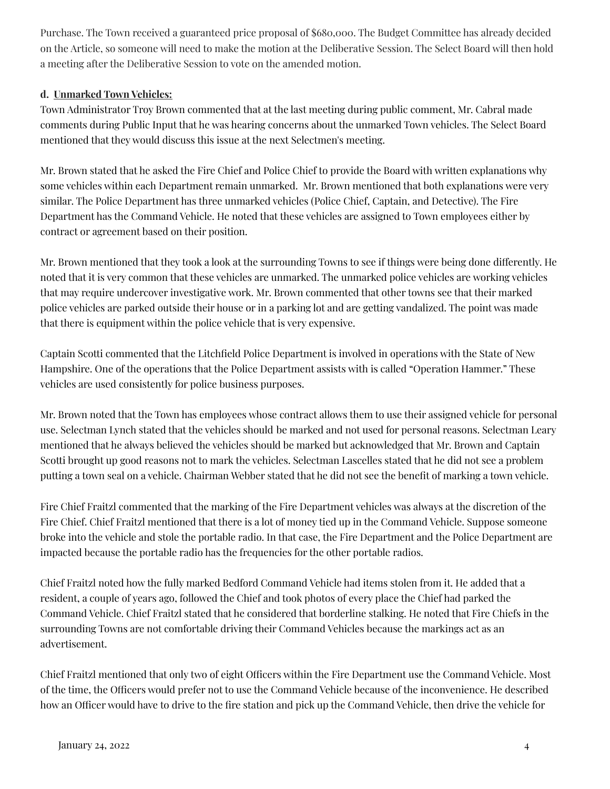Purchase. The Town received a guaranteed price proposal of \$680,000. The Budget Committee has already decided on the Article, so someone will need to make the motion at the Deliberative Session. The Select Board will then hold a meeting after the Deliberative Session to vote on the amended motion.

## **d. Unmarked Town Vehicles:**

Town Administrator Troy Brown commented that at the last meeting during public comment, Mr. Cabral made comments during Public Input that he was hearing concerns about the unmarked Town vehicles. The Select Board mentioned that they would discuss this issue at the next Selectmen's meeting.

Mr. Brown stated that he asked the Fire Chief and Police Chief to provide the Board with written explanations why some vehicles within each Department remain unmarked. Mr. Brown mentioned that both explanations were very similar. The Police Department has three unmarked vehicles (Police Chief, Captain, and Detective). The Fire Department has the Command Vehicle. He noted that these vehicles are assigned to Town employees either by contract or agreement based on their position.

Mr. Brown mentioned that they took a look at the surrounding Towns to see if things were being done differently. He noted that it is very common that these vehicles are unmarked. The unmarked police vehicles are working vehicles that may require undercover investigative work. Mr. Brown commented that other towns see that their marked police vehicles are parked outside their house or in a parking lot and are getting vandalized. The point was made that there is equipment within the police vehicle that is very expensive.

Captain Scotti commented that the Litchfield Police Department is involved in operations with the State of New Hampshire. One of the operations that the Police Department assists with is called "Operation Hammer." These vehicles are used consistently for police business purposes.

Mr. Brown noted that the Town has employees whose contract allows them to use their assigned vehicle for personal use. Selectman Lynch stated that the vehicles should be marked and not used for personal reasons. Selectman Leary mentioned that he always believed the vehicles should be marked but acknowledged that Mr. Brown and Captain Scotti brought up good reasons not to mark the vehicles. Selectman Lascelles stated that he did not see a problem putting a town seal on a vehicle. Chairman Webber stated that he did not see the benefit of marking a town vehicle.

Fire Chief Fraitzl commented that the marking of the Fire Department vehicles was always at the discretion of the Fire Chief. Chief Fraitzl mentioned that there is a lot of money tied up in the Command Vehicle. Suppose someone broke into the vehicle and stole the portable radio. In that case, the Fire Department and the Police Department are impacted because the portable radio has the frequencies for the other portable radios.

Chief Fraitzl noted how the fully marked Bedford Command Vehicle had items stolen from it. He added that a resident, a couple of years ago, followed the Chief and took photos of every place the Chief had parked the Command Vehicle. Chief Fraitzl stated that he considered that borderline stalking. He noted that Fire Chiefs in the surrounding Towns are not comfortable driving their Command Vehicles because the markings act as an advertisement.

Chief Fraitzl mentioned that only two of eight Officers within the Fire Department use the Command Vehicle. Most of the time, the Officers would prefer not to use the Command Vehicle because of the inconvenience. He described how an Officer would have to drive to the fire station and pick up the Command Vehicle, then drive the vehicle for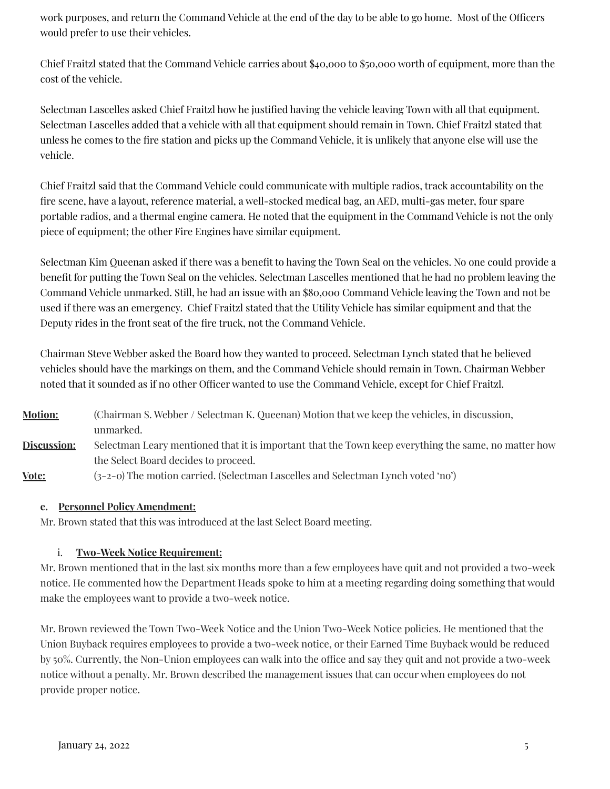work purposes, and return the Command Vehicle at the end of the day to be able to go home. Most of the Officers would prefer to use their vehicles.

Chief Fraitzl stated that the Command Vehicle carries about \$40,000 to \$50,000 worth of equipment, more than the cost of the vehicle.

Selectman Lascelles asked Chief Fraitzl how he justified having the vehicle leaving Town with all that equipment. Selectman Lascelles added that a vehicle with all that equipment should remain in Town. Chief Fraitzl stated that unless he comes to the fire station and picks up the Command Vehicle, it is unlikely that anyone else will use the vehicle.

Chief Fraitzl said that the Command Vehicle could communicate with multiple radios, track accountability on the fire scene, have a layout, reference material, a well-stocked medical bag, an AED, multi-gas meter, four spare portable radios, and a thermal engine camera. He noted that the equipment in the Command Vehicle is not the only piece of equipment; the other Fire Engines have similar equipment.

Selectman Kim Queenan asked if there was a benefit to having the Town Seal on the vehicles. No one could provide a benefit for putting the Town Seal on the vehicles. Selectman Lascelles mentioned that he had no problem leaving the Command Vehicle unmarked. Still, he had an issue with an \$80,000 Command Vehicle leaving the Town and not be used if there was an emergency. Chief Fraitzl stated that the Utility Vehicle has similar equipment and that the Deputy rides in the front seat of the fire truck, not the Command Vehicle.

Chairman Steve Webber asked the Board how they wanted to proceed. Selectman Lynch stated that he believed vehicles should have the markings on them, and the Command Vehicle should remain in Town. Chairman Webber noted that it sounded as if no other Officer wanted to use the Command Vehicle, except for Chief Fraitzl.

**Motion:** (Chairman S. Webber / Selectman K. Queenan) Motion that we keep the vehicles, in discussion, unmarked. **Discussion:** Selectman Leary mentioned that it is important that the Town keep everything the same, no matter how the Select Board decides to proceed. **Vote:** (3-2-0) The motion carried. (Selectman Lascelles and Selectman Lynch voted 'no')

## **e. Personnel PolicyAmendment:**

Mr. Brown stated that this was introduced at the last Select Board meeting.

## i. **Two-Week Notice Requirement:**

Mr. Brown mentioned that in the last six months more than a few employees have quit and not provided a two-week notice. He commented how the Department Heads spoke to him at a meeting regarding doing something that would make the employees want to provide a two-week notice.

Mr. Brown reviewed the Town Two-Week Notice and the Union Two-Week Notice policies. He mentioned that the Union Buyback requires employees to provide a two-week notice, or their Earned Time Buyback would be reduced by 50%. Currently, the Non-Union employees can walk into the office and say they quit and not provide a two-week notice without a penalty. Mr. Brown described the management issues that can occur when employees do not provide proper notice.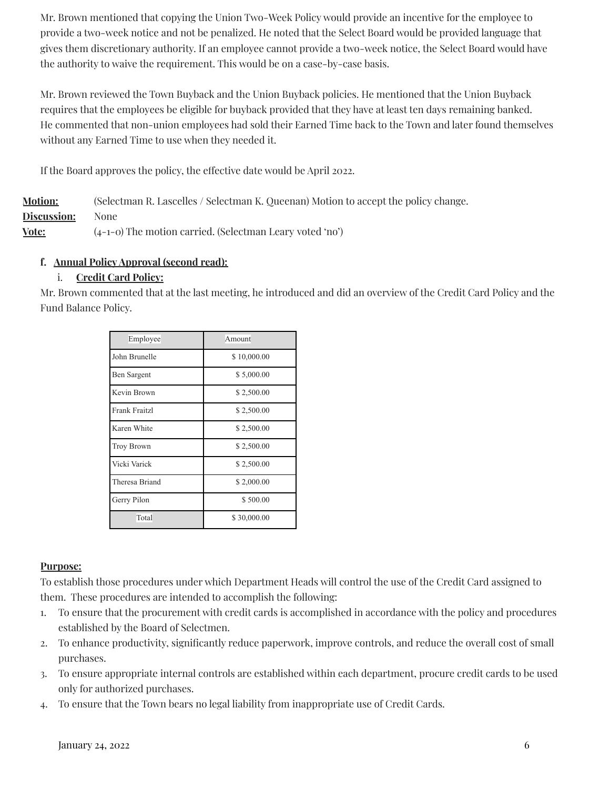Mr. Brown mentioned that copying the Union Two-Week Policy would provide an incentive for the employee to provide a two-week notice and not be penalized. He noted that the Select Board would be provided language that gives them discretionary authority. If an employee cannot provide a two-week notice, the Select Board would have the authority to waive the requirement. This would be on a case-by-case basis.

Mr. Brown reviewed the Town Buyback and the Union Buyback policies. He mentioned that the Union Buyback requires that the employees be eligible for buyback provided that they have at least ten days remaining banked. He commented that non-union employees had sold their Earned Time back to the Town and later found themselves without any Earned Time to use when they needed it.

If the Board approves the policy, the effective date would be April 2022.

| <b>Motion:</b> | (Selectman R. Lascelles / Selectman K. Queenan) Motion to accept the policy change. |
|----------------|-------------------------------------------------------------------------------------|
| Discussion:    | None                                                                                |
| Vote:          | $(4-1-0)$ The motion carried. (Selectman Leary voted 'no')                          |

## **f. Annual PolicyApproval (second read):**

## i. **Credit Card Policy:**

Mr. Brown commented that at the last meeting, he introduced and did an overview of the Credit Card Policy and the Fund Balance Policy.

| Employee          | Amount      |
|-------------------|-------------|
| John Brunelle     | \$10,000.00 |
| Ben Sargent       | \$5,000.00  |
| Kevin Brown       | \$2,500.00  |
| Frank Fraitzl     | \$2,500.00  |
| Karen White       | \$2,500.00  |
| <b>Troy Brown</b> | \$2,500.00  |
| Vicki Varick      | \$2,500.00  |
| Theresa Briand    | \$2,000.00  |
| Gerry Pilon       | \$500.00    |
| Total             | \$30,000.00 |

## **Purpose:**

To establish those procedures under which Department Heads will control the use of the Credit Card assigned to them. These procedures are intended to accomplish the following:

- 1. To ensure that the procurement with credit cards is accomplished in accordance with the policy and procedures established by the Board of Selectmen.
- 2. To enhance productivity, significantly reduce paperwork, improve controls, and reduce the overall cost of small purchases.
- 3. To ensure appropriate internal controls are established within each department, procure credit cards to be used only for authorized purchases.
- 4. To ensure that the Town bears no legal liability from inappropriate use of Credit Cards.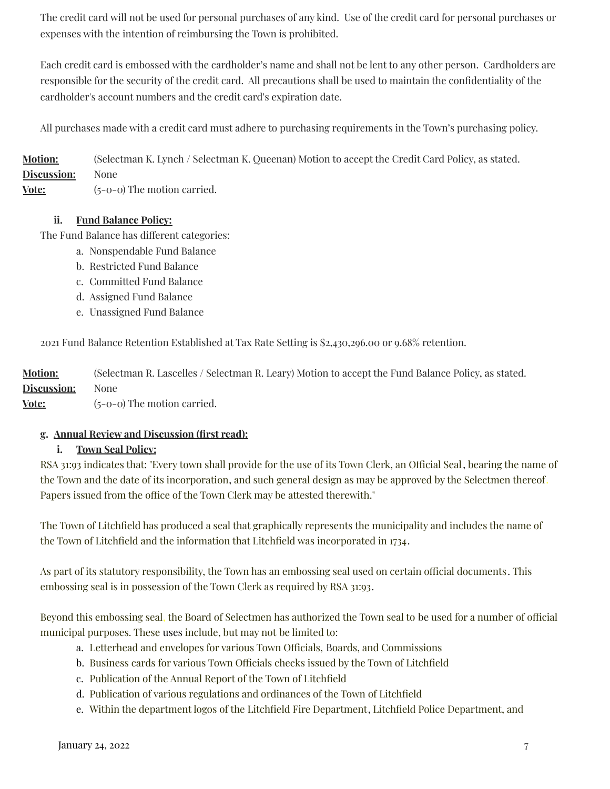The credit card will not be used for personal purchases of any kind. Use of the credit card for personal purchases or expenses with the intention of reimbursing the Town is prohibited.

Each credit card is embossed with the cardholder's name and shall not be lent to any other person. Cardholders are responsible for the security of the credit card. All precautions shall be used to maintain the confidentiality of the cardholder's account numbers and the credit card's expiration date.

All purchases made with a credit card must adhere to purchasing requirements in the Town's purchasing policy.

**Motion:** (Selectman K. Lynch / Selectman K. Queenan) Motion to accept the Credit Card Policy, as stated. **Discussion:** None **Vote:** (5-0-0) The motion carried.

#### **ii. Fund Balance Policy:**

The Fund Balance has different categories:

- a. Nonspendable Fund Balance
- b. Restricted Fund Balance
- c. Committed Fund Balance
- d. Assigned Fund Balance
- e. Unassigned Fund Balance

2021 Fund Balance Retention Established at Tax Rate Setting is \$2,430,296.00 or 9.68% retention.

**Motion:** (Selectman R. Lascelles / Selectman R. Leary) Motion to accept the Fund Balance Policy, as stated. **Discussion:** None

**<u>Vote:</u>** (5-0-0) The motion carried.

#### **g. Annual Review and Discussion (first read):**

#### **i. Town Seal Policy:**

RSA 31:93 indicates that: "Every town shall provide for the use of its Town Clerk, an Official Seal, bearing the name of the Town and the date of its incorporation, and such general design as may be approved by the Selectmen thereof. Papers issued from the office of the Town Clerk may be attested therewith."

The Town of Litchfield has produced a seal that graphically represents the municipality and includes the name of the Town of Litchfield and the information that Litchfield was incorporated in 1734.

As part of its statutory responsibility, the Town has an embossing seal used on certain official documents. This embossing seal is in possession of the Town Clerk as required by RSA 31:93.

Beyond this embossing seal, the Board of Selectmen has authorized the Town seal to be used for a number of official municipal purposes. These uses include, but may not be limited to:

- a. Letterhead and envelopes for various Town Officials, Boards, and Commissions
- b. Business cards for various Town Officials checks issued by the Town of Litchfield
- c. Publication of the Annual Report of the Town of Litchfield
- d. Publication of various regulations and ordinances of the Town of Litchfield
- e. Within the department logos of the Litchfield Fire Department, Litchfield Police Department, and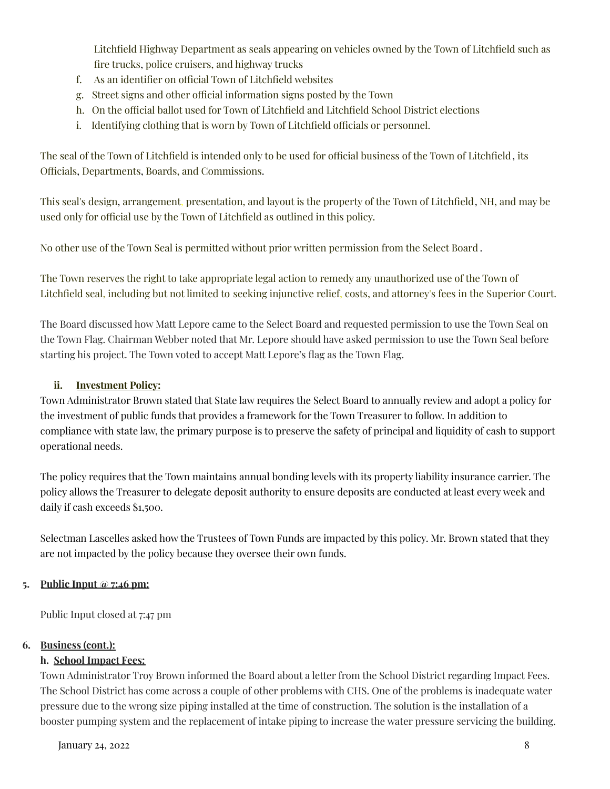Litchfield Highway Department as seals appearing on vehicles owned by the Town of Litchfield such as fire trucks, police cruisers, and highway trucks

- f. As an identifier on official Town of Litchfield websites
- g. Street signs and other official information signs posted by the Town
- h. On the official ballot used for Town of Litchfield and Litchfield School District elections
- i. Identifying clothing that is worn by Town of Litchfield officials or personnel.

The seal of the Town of Litchfield is intended only to be used for official business of the Town of Litchfield, its Officials, Departments, Boards, and Commissions.

This seal's design, arrangement, presentation, and layout is the property of the Town of Litchfield, NH, and may be used only for official use by the Town of Litchfield as outlined in this policy.

No other use of the Town Seal is permitted without prior written permission from the Select Board .

The Town reserves the right to take appropriate legal action to remedy any unauthorized use of the Town of Litchfield seal, including but not limited to seeking injunctive relief, costs, and attorney's fees in the Superior Court.

The Board discussed how Matt Lepore came to the Select Board and requested permission to use the Town Seal on the Town Flag. Chairman Webber noted that Mr. Lepore should have asked permission to use the Town Seal before starting his project. The Town voted to accept Matt Lepore's flag as the Town Flag.

## **ii. Investment Policy:**

Town Administrator Brown stated that State law requires the Select Board to annually review and adopt a policy for the investment of public funds that provides a framework for the Town Treasurer to follow. In addition to compliance with state law, the primary purpose is to preserve the safety of principal and liquidity of cash to support operational needs.

The policy requires that the Town maintains annual bonding levels with its property liability insurance carrier. The policy allows the Treasurer to delegate deposit authority to ensure deposits are conducted at least every week and daily if cash exceeds \$1,500.

Selectman Lascelles asked how the Trustees of Town Funds are impacted by this policy. Mr. Brown stated that they are not impacted by the policy because they oversee their own funds.

#### **5. Public Input @ 7:46 pm:**

Public Input closed at 7:47 pm

#### **6. Business (cont.):**

## **h. School Impact Fees:**

Town Administrator Troy Brown informed the Board about a letter from the School District regarding Impact Fees. The School District has come across a couple of other problems with CHS. One of the problems is inadequate water pressure due to the wrong size piping installed at the time of construction. The solution is the installation of a booster pumping system and the replacement of intake piping to increase the water pressure servicing the building.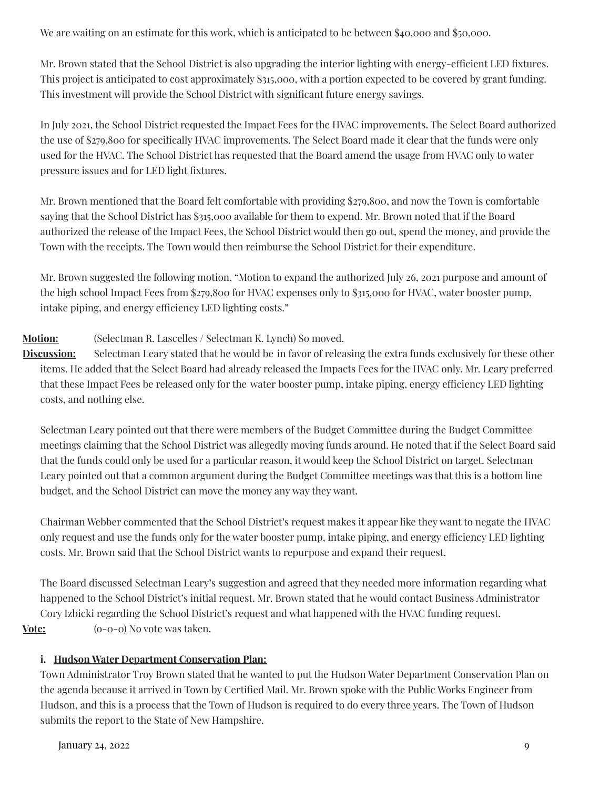We are waiting on an estimate for this work, which is anticipated to be between \$40,000 and \$50,000.

Mr. Brown stated that the School District is also upgrading the interior lighting with energy-efficient LED fixtures. This project is anticipated to cost approximately \$315,000, with a portion expected to be covered by grant funding. This investment will provide the School District with significant future energy savings.

In July 2021, the School District requested the Impact Fees for the HVAC improvements. The Select Board authorized the use of \$279,800 for specifically HVAC improvements. The Select Board made it clear that the funds were only used for the HVAC. The School District has requested that the Board amend the usage from HVAC only to water pressure issues and for LED light fixtures.

Mr. Brown mentioned that the Board felt comfortable with providing \$279,800, and now the Town is comfortable saying that the School District has \$315,000 available for them to expend. Mr. Brown noted that if the Board authorized the release of the Impact Fees, the School District would then go out, spend the money, and provide the Town with the receipts. The Town would then reimburse the School District for their expenditure.

Mr. Brown suggested the following motion, "Motion to expand the authorized July 26, 2021 purpose and amount of the high school Impact Fees from \$279,800 for HVAC expenses only to \$315,000 for HVAC, water booster pump, intake piping, and energy efficiency LED lighting costs."

## **Motion:** (Selectman R. Lascelles / Selectman K. Lynch) So moved.

**Discussion:** Selectman Leary stated that he would be in favor of releasing the extra funds exclusively for these other items. He added that the Select Board had already released the Impacts Fees for the HVAC only. Mr. Leary preferred that these Impact Fees be released only for the water booster pump, intake piping, energy efficiency LED lighting costs, and nothing else.

Selectman Leary pointed out that there were members of the Budget Committee during the Budget Committee meetings claiming that the School District was allegedly moving funds around. He noted that if the Select Board said that the funds could only be used for a particular reason, it would keep the School District on target. Selectman Leary pointed out that a common argument during the Budget Committee meetings was that this is a bottom line budget, and the School District can move the money any way they want.

Chairman Webber commented that the School District's request makes it appear like they want to negate the HVAC only request and use the funds only for the water booster pump, intake piping, and energy efficiency LED lighting costs. Mr. Brown said that the School District wants to repurpose and expand their request.

The Board discussed Selectman Leary's suggestion and agreed that they needed more information regarding what happened to the School District's initial request. Mr. Brown stated that he would contact Business Administrator Cory Izbicki regarding the School District's request and what happened with the HVAC funding request. **Vote:** (o-0-0) No vote was taken.

## **i. Hudson Water Department Conservation Plan:**

Town Administrator Troy Brown stated that he wanted to put the Hudson Water Department Conservation Plan on the agenda because it arrived in Town by Certified Mail. Mr. Brown spoke with the Public Works Engineer from Hudson, and this is a process that the Town of Hudson is required to do every three years. The Town of Hudson submits the report to the State of New Hampshire.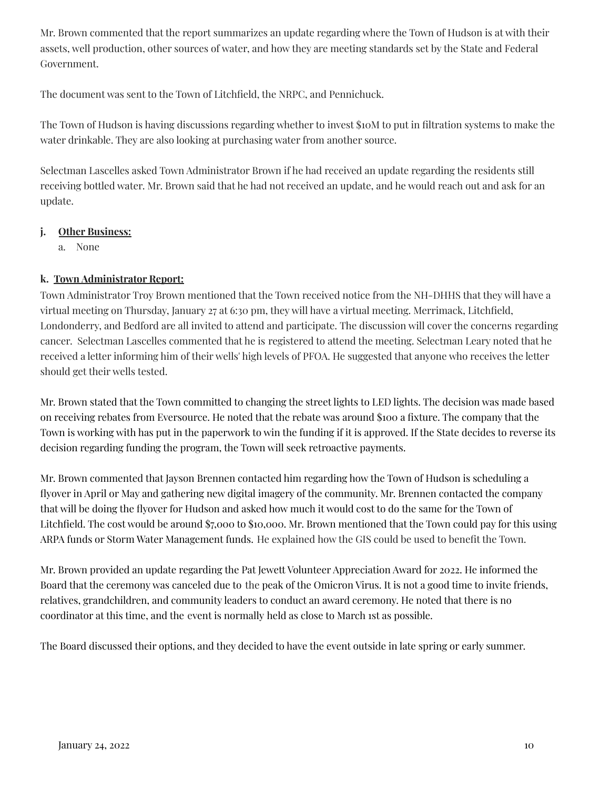Mr. Brown commented that the report summarizes an update regarding where the Town of Hudson is at with their assets, well production, other sources of water, and how they are meeting standards set by the State and Federal Government.

The document was sent to the Town of Litchfield, the NRPC, and Pennichuck.

The Town of Hudson is having discussions regarding whether to invest \$10M to put in filtration systems to make the water drinkable. They are also looking at purchasing water from another source.

Selectman Lascelles asked Town Administrator Brown if he had received an update regarding the residents still receiving bottled water. Mr. Brown said that he had not received an update, and he would reach out and ask for an update.

## **j. Other Business:**

a. None

## **k. Town Administrator Report:**

Town Administrator Troy Brown mentioned that the Town received notice from the NH-DHHS that they will have a virtual meeting on Thursday, January 27 at 6:30 pm, they will have a virtual meeting. Merrimack, Litchfield, Londonderry, and Bedford are all invited to attend and participate. The discussion will cover the concerns regarding cancer. Selectman Lascelles commented that he is registered to attend the meeting. Selectman Leary noted that he received a letter informing him of their wells' high levels of PFOA. He suggested that anyone who receives the letter should get their wells tested.

Mr. Brown stated that the Town committed to changing the street lights to LED lights. The decision was made based on receiving rebates from Eversource. He noted that the rebate was around \$100 a fixture. The company that the Town is working with has put in the paperwork to win the funding if it is approved. If the State decides to reverse its decision regarding funding the program, the Town will seek retroactive payments.

Mr. Brown commented that Jayson Brennen contacted him regarding how the Town of Hudson is scheduling a flyover in April or May and gathering new digital imagery of the community. Mr. Brennen contacted the company that will be doing the flyover for Hudson and asked how much it would cost to do the same for the Town of Litchfield. The cost would be around \$7,000 to \$10,000. Mr. Brown mentioned that the Town could pay for this using ARPA funds or Storm Water Management funds. He explained how the GIS could be used to benefit the Town.

Mr. Brown provided an update regarding the Pat Jewett Volunteer Appreciation Award for 2022. He informed the Board that the ceremony was canceled due to the peak of the Omicron Virus. It is not a good time to invite friends, relatives, grandchildren, and community leaders to conduct an award ceremony. He noted that there is no coordinator at this time, and the event is normally held as close to March 1st as possible.

The Board discussed their options, and they decided to have the event outside in late spring or early summer.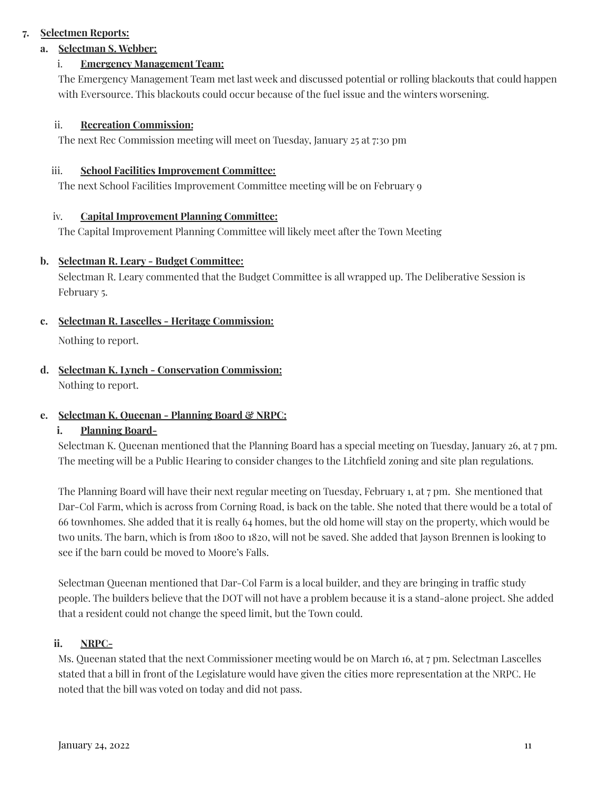## **7. Selectmen Reports:**

## **a. Selectman S. Webber:**

## i. **Emergency Management Team:**

The Emergency Management Team met last week and discussed potential or rolling blackouts that could happen with Eversource. This blackouts could occur because of the fuel issue and the winters worsening.

### ii. **Recreation Commission:**

The next Rec Commission meeting will meet on Tuesday, January 25 at 7:30 pm

### iii. **School Facilities Improvement Committee:**

The next School Facilities Improvement Committee meeting will be on February 9

### iv. **Capital Improvement Planning Committee:**

The Capital Improvement Planning Committee will likely meet after the Town Meeting

### **b. Selectman R. Leary - Budget Committee:**

Selectman R. Leary commented that the Budget Committee is all wrapped up. The Deliberative Session is February 5.

## **c. Selectman R. Lascelles - Heritage Commission:**

Nothing to report.

## **d. Selectman K. Lynch - Conservation Commission:** Nothing to report.

## **e. Selectman K. Queenan - Planning Board & NRPC:**

## **i. Planning Board-**

Selectman K. Queenan mentioned that the Planning Board has a special meeting on Tuesday, January 26, at 7 pm. The meeting will be a Public Hearing to consider changes to the Litchfield zoning and site plan regulations.

The Planning Board will have their next regular meeting on Tuesday, February 1, at 7 pm. She mentioned that Dar-Col Farm, which is across from Corning Road, is back on the table. She noted that there would be a total of 66 townhomes. She added that it is really 64 homes, but the old home will stay on the property, which would be two units. The barn, which is from 1800 to 1820, will not be saved. She added that Jayson Brennen is looking to see if the barn could be moved to Moore's Falls.

Selectman Queenan mentioned that Dar-Col Farm is a local builder, and they are bringing in traffic study people. The builders believe that the DOT will not have a problem because it is a stand-alone project. She added that a resident could not change the speed limit, but the Town could.

## **ii. NRPC-**

Ms. Queenan stated that the next Commissioner meeting would be on March 16, at 7 pm. Selectman Lascelles stated that a bill in front of the Legislature would have given the cities more representation at the NRPC. He noted that the bill was voted on today and did not pass.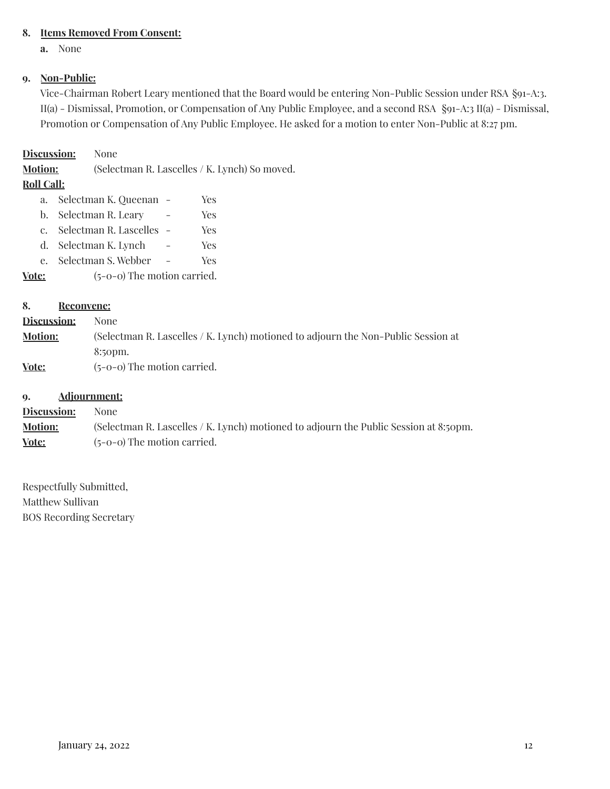## **8. Items Removed From Consent:**

**a.** None

## **9. Non-Public:**

Vice-Chairman Robert Leary mentioned that the Board would be entering Non-Public Session under RSA §91-A:3. II(a) - Dismissal, Promotion, or Compensation of Any Public Employee, and a second RSA §91-A:3 II(a) - Dismissal, Promotion or Compensation of Any Public Employee. He asked for a motion to enter Non-Public at 8:27 pm.

### **Discussion:** None

**Motion:** (Selectman R. Lascelles / K. Lynch) So moved.

### **Roll Call:**

- a. Selectman K. Queenan Yes b. Selectman R. Leary - Yes
- c. Selectman R. Lascelles Yes
- d. Selectman K. Lynch Yes
- e. Selectman S. Webber Yes

**Vote:** (5-0-0) The motion carried.

### **8. Reconvene:**

| <b>Discussion:</b> | None                                                                              |
|--------------------|-----------------------------------------------------------------------------------|
| <b>Motion:</b>     | (Selectman R. Lascelles / K. Lynch) motioned to adjourn the Non-Public Session at |
|                    | 8:50pm.                                                                           |
| Vote:              | $(5-0-0)$ The motion carried.                                                     |

### **9. Adjournment:**

**Discussion:** None **Motion:** (Selectman R. Lascelles / K. Lynch) motioned to adjourn the Public Session at 8:50pm. **Vote:** (5-0-0) The motion carried.

Respectfully Submitted, Matthew Sullivan BOS Recording Secretary